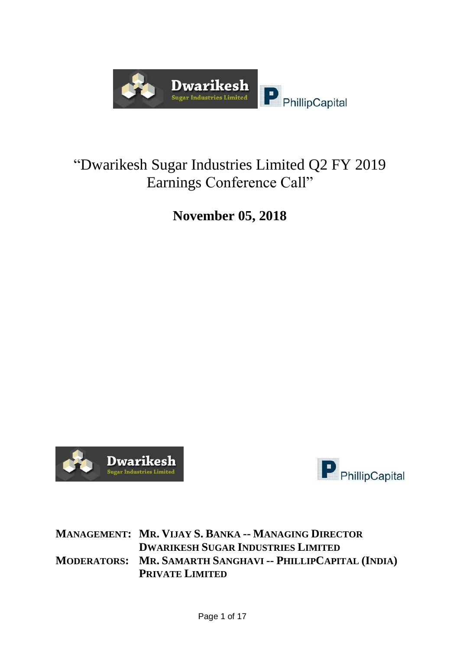

## "Dwarikesh Sugar Industries Limited Q2 FY 2019 Earnings Conference Call"

## **November 05, 2018**





**MANAGEMENT: MR. VIJAY S. BANKA -- MANAGING DIRECTOR DWARIKESH SUGAR INDUSTRIES LIMITED MODERATORS: MR. SAMARTH SANGHAVI -- PHILLIPCAPITAL (INDIA) PRIVATE LIMITED**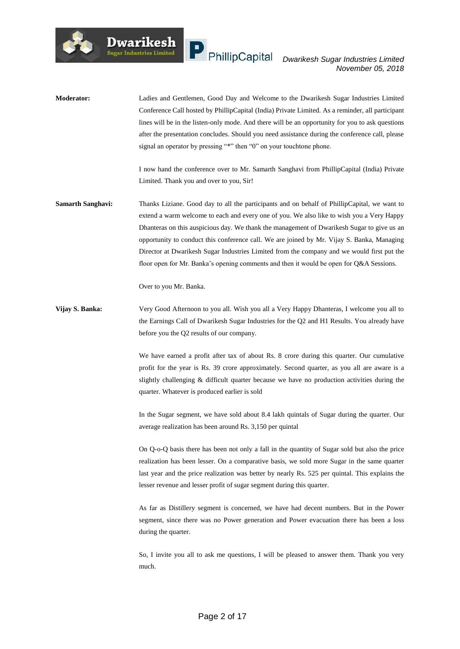**Moderator:** Ladies and Gentlemen, Good Day and Welcome to the Dwarikesh Sugar Industries Limited Conference Call hosted by PhillipCapital (India) Private Limited. As a reminder, all participant lines will be in the listen-only mode. And there will be an opportunity for you to ask questions after the presentation concludes. Should you need assistance during the conference call, please signal an operator by pressing "\*" then "0" on your touchtone phone.

> I now hand the conference over to Mr. Samarth Sanghavi from PhillipCapital (India) Private Limited. Thank you and over to you, Sir!

**Samarth Sanghavi:** Thanks Liziane. Good day to all the participants and on behalf of PhillipCapital, we want to extend a warm welcome to each and every one of you. We also like to wish you a Very Happy Dhanteras on this auspicious day. We thank the management of Dwarikesh Sugar to give us an opportunity to conduct this conference call. We are joined by Mr. Vijay S. Banka, Managing Director at Dwarikesh Sugar Industries Limited from the company and we would first put the floor open for Mr. Banka's opening comments and then it would be open for Q&A Sessions.

Over to you Mr. Banka.

Dwarikesh

**Vijay S. Banka:** Very Good Afternoon to you all. Wish you all a Very Happy Dhanteras, I welcome you all to the Earnings Call of Dwarikesh Sugar Industries for the Q2 and H1 Results. You already have before you the Q2 results of our company.

> We have earned a profit after tax of about Rs. 8 crore during this quarter. Our cumulative profit for the year is Rs. 39 crore approximately. Second quarter, as you all are aware is a slightly challenging & difficult quarter because we have no production activities during the quarter. Whatever is produced earlier is sold

> In the Sugar segment, we have sold about 8.4 lakh quintals of Sugar during the quarter. Our average realization has been around Rs. 3,150 per quintal

> On Q-o-Q basis there has been not only a fall in the quantity of Sugar sold but also the price realization has been lesser. On a comparative basis, we sold more Sugar in the same quarter last year and the price realization was better by nearly Rs. 525 per quintal. This explains the lesser revenue and lesser profit of sugar segment during this quarter.

> As far as Distillery segment is concerned, we have had decent numbers. But in the Power segment, since there was no Power generation and Power evacuation there has been a loss during the quarter.

> So, I invite you all to ask me questions, I will be pleased to answer them. Thank you very much.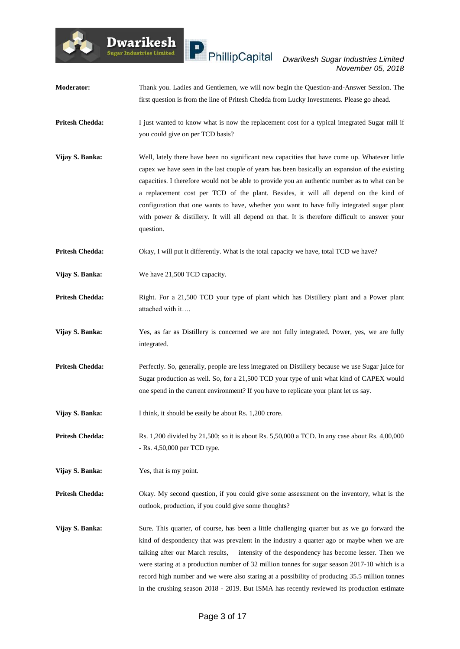#### *Dwarikesh Sugar Industries Limited November 05, 2018*

- **Moderator:** Thank you. Ladies and Gentlemen, we will now begin the Question-and-Answer Session. The first question is from the line of Pritesh Chedda from Lucky Investments. Please go ahead.
- **Pritesh Chedda:** I just wanted to know what is now the replacement cost for a typical integrated Sugar mill if you could give on per TCD basis?
- **Vijay S. Banka:** Well, lately there have been no significant new capacities that have come up. Whatever little capex we have seen in the last couple of years has been basically an expansion of the existing capacities. I therefore would not be able to provide you an authentic number as to what can be a replacement cost per TCD of the plant. Besides, it will all depend on the kind of configuration that one wants to have, whether you want to have fully integrated sugar plant with power & distillery. It will all depend on that. It is therefore difficult to answer your question.
- **Pritesh Chedda:** Okay, I will put it differently. What is the total capacity we have, total TCD we have?
- **Vijay S. Banka:** We have 21,500 TCD capacity.

**Dwarikesh** .<br>Sugar Industries Limited

- Pritesh Chedda: Right. For a 21,500 TCD your type of plant which has Distillery plant and a Power plant attached with it….
- **Vijay S. Banka:** Yes, as far as Distillery is concerned we are not fully integrated. Power, yes, we are fully integrated.
- Pritesh Chedda: Perfectly. So, generally, people are less integrated on Distillery because we use Sugar juice for Sugar production as well. So, for a 21,500 TCD your type of unit what kind of CAPEX would one spend in the current environment? If you have to replicate your plant let us say.
- **Vijay S. Banka:** I think, it should be easily be about Rs. 1,200 crore.
- **Pritesh Chedda:** Rs. 1,200 divided by 21,500; so it is about Rs. 5,50,000 a TCD. In any case about Rs. 4,00,000 - Rs. 4,50,000 per TCD type.
- **Vijay S. Banka:** Yes, that is my point.

**Pritesh Chedda:** Okay. My second question, if you could give some assessment on the inventory, what is the outlook, production, if you could give some thoughts?

**Vijay S. Banka:** Sure. This quarter, of course, has been a little challenging quarter but as we go forward the kind of despondency that was prevalent in the industry a quarter ago or maybe when we are talking after our March results, intensity of the despondency has become lesser. Then we were staring at a production number of 32 million tonnes for sugar season 2017-18 which is a record high number and we were also staring at a possibility of producing 35.5 million tonnes in the crushing season 2018 - 2019. But ISMA has recently reviewed its production estimate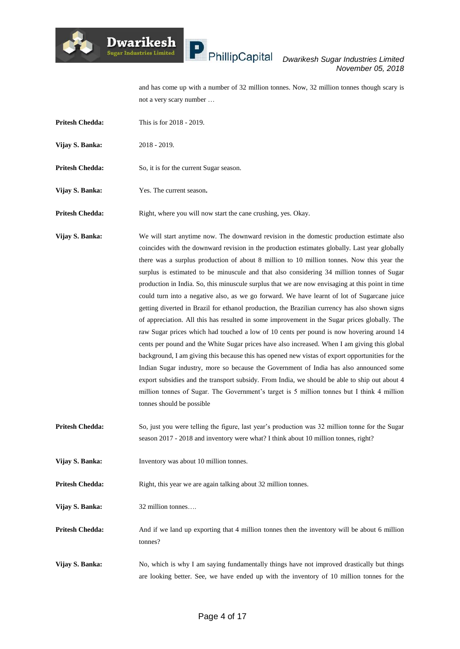# $\blacksquare$  PhillipCapital

#### *Dwarikesh Sugar Industries Limited November 05, 2018*

and has come up with a number of 32 million tonnes. Now, 32 million tonnes though scary is not a very scary number …

**Pritesh Chedda:** This is for 2018 - 2019.

**Dwarikesh** 

.<br>Sugar Industries Limited

- **Vijay S. Banka:** 2018 2019.
- **Pritesh Chedda:** So, it is for the current Sugar season.
- **Vijay S. Banka:** Yes. The current season**.**
- **Pritesh Chedda:** Right, where you will now start the cane crushing, yes. Okay.

**Vijay S. Banka:** We will start anytime now. The downward revision in the domestic production estimate also coincides with the downward revision in the production estimates globally. Last year globally there was a surplus production of about 8 million to 10 million tonnes. Now this year the surplus is estimated to be minuscule and that also considering 34 million tonnes of Sugar production in India. So, this minuscule surplus that we are now envisaging at this point in time could turn into a negative also, as we go forward. We have learnt of lot of Sugarcane juice getting diverted in Brazil for ethanol production, the Brazilian currency has also shown signs of appreciation. All this has resulted in some improvement in the Sugar prices globally. The raw Sugar prices which had touched a low of 10 cents per pound is now hovering around 14 cents per pound and the White Sugar prices have also increased. When I am giving this global background, I am giving this because this has opened new vistas of export opportunities for the Indian Sugar industry, more so because the Government of India has also announced some export subsidies and the transport subsidy. From India, we should be able to ship out about 4 million tonnes of Sugar. The Government's target is 5 million tonnes but I think 4 million tonnes should be possible

- **Pritesh Chedda:** So, just you were telling the figure, last year's production was 32 million tonne for the Sugar season 2017 - 2018 and inventory were what? I think about 10 million tonnes, right?
- **Vijay S. Banka:** Inventory was about 10 million tonnes.
- **Pritesh Chedda:** Right, this year we are again talking about 32 million tonnes.
- **Vijay S. Banka:** 32 million tonnes….

**Pritesh Chedda:** And if we land up exporting that 4 million tonnes then the inventory will be about 6 million tonnes?

**Vijay S. Banka:** No, which is why I am saying fundamentally things have not improved drastically but things are looking better. See, we have ended up with the inventory of 10 million tonnes for the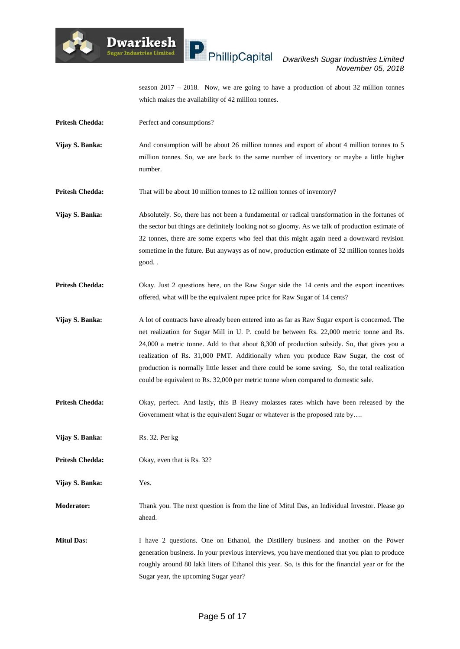

season 2017 – 2018. Now, we are going to have a production of about 32 million tonnes which makes the availability of 42 million tonnes.

**Pritesh Chedda:** Perfect and consumptions?

**Dwarikesh** .<br>Sugar Industries Limited

- **Vijay S. Banka:** And consumption will be about 26 million tonnes and export of about 4 million tonnes to 5 million tonnes. So, we are back to the same number of inventory or maybe a little higher number.
- **Pritesh Chedda:** That will be about 10 million tonnes to 12 million tonnes of inventory?
- **Vijay S. Banka:** Absolutely. So, there has not been a fundamental or radical transformation in the fortunes of the sector but things are definitely looking not so gloomy. As we talk of production estimate of 32 tonnes, there are some experts who feel that this might again need a downward revision sometime in the future. But anyways as of now, production estimate of 32 million tonnes holds good. .
- **Pritesh Chedda:** Okay. Just 2 questions here, on the Raw Sugar side the 14 cents and the export incentives offered, what will be the equivalent rupee price for Raw Sugar of 14 cents?
- **Vijay S. Banka:** A lot of contracts have already been entered into as far as Raw Sugar export is concerned. The net realization for Sugar Mill in U. P. could be between Rs. 22,000 metric tonne and Rs. 24,000 a metric tonne. Add to that about 8,300 of production subsidy. So, that gives you a realization of Rs. 31,000 PMT. Additionally when you produce Raw Sugar, the cost of production is normally little lesser and there could be some saving. So, the total realization could be equivalent to Rs. 32,000 per metric tonne when compared to domestic sale.
- **Pritesh Chedda:** Okay, perfect. And lastly, this B Heavy molasses rates which have been released by the Government what is the equivalent Sugar or whatever is the proposed rate by….

**Vijay S. Banka:** Rs. 32. Per kg

**Pritesh Chedda:** Okay, even that is Rs. 32?

**Vijay S. Banka:** Yes.

**Moderator:** Thank you. The next question is from the line of Mitul Das, an Individual Investor. Please go ahead.

**Mitul Das:** I have 2 questions. One on Ethanol, the Distillery business and another on the Power generation business. In your previous interviews, you have mentioned that you plan to produce roughly around 80 lakh liters of Ethanol this year. So, is this for the financial year or for the Sugar year, the upcoming Sugar year?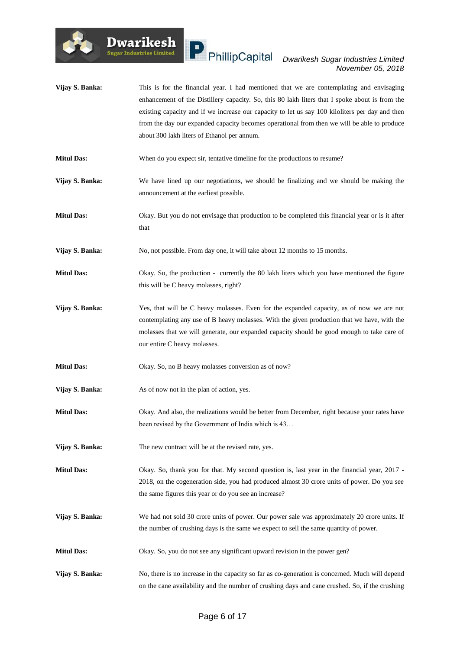

- **Vijay S. Banka:** This is for the financial year. I had mentioned that we are contemplating and envisaging enhancement of the Distillery capacity. So, this 80 lakh liters that I spoke about is from the existing capacity and if we increase our capacity to let us say 100 kiloliters per day and then from the day our expanded capacity becomes operational from then we will be able to produce about 300 lakh liters of Ethanol per annum.
- **Mitul Das:** When do you expect sir, tentative timeline for the productions to resume?
- **Vijay S. Banka:** We have lined up our negotiations, we should be finalizing and we should be making the announcement at the earliest possible.
- **Mitul Das:** Okay. But you do not envisage that production to be completed this financial year or is it after that
- **Vijay S. Banka:** No, not possible. From day one, it will take about 12 months to 15 months.
- **Mitul Das:** Okay. So, the production currently the 80 lakh liters which you have mentioned the figure this will be C heavy molasses, right?
- **Vijay S. Banka:** Yes, that will be C heavy molasses. Even for the expanded capacity, as of now we are not contemplating any use of B heavy molasses. With the given production that we have, with the molasses that we will generate, our expanded capacity should be good enough to take care of our entire C heavy molasses.
- **Mitul Das:** Okay. So, no B heavy molasses conversion as of now?
- **Vijay S. Banka:** As of now not in the plan of action, yes.

**Dwarikesh** 

- **Mitul Das:** Okay. And also, the realizations would be better from December, right because your rates have been revised by the Government of India which is 43…
- **Vijay S. Banka:** The new contract will be at the revised rate, yes.
- **Mitul Das:** Okay. So, thank you for that. My second question is, last year in the financial year, 2017 2018, on the cogeneration side, you had produced almost 30 crore units of power. Do you see the same figures this year or do you see an increase?
- **Vijay S. Banka:** We had not sold 30 crore units of power. Our power sale was approximately 20 crore units. If the number of crushing days is the same we expect to sell the same quantity of power.
- **Mitul Das:** Okay. So, you do not see any significant upward revision in the power gen?
- **Vijay S. Banka:** No, there is no increase in the capacity so far as co-generation is concerned. Much will depend on the cane availability and the number of crushing days and cane crushed. So, if the crushing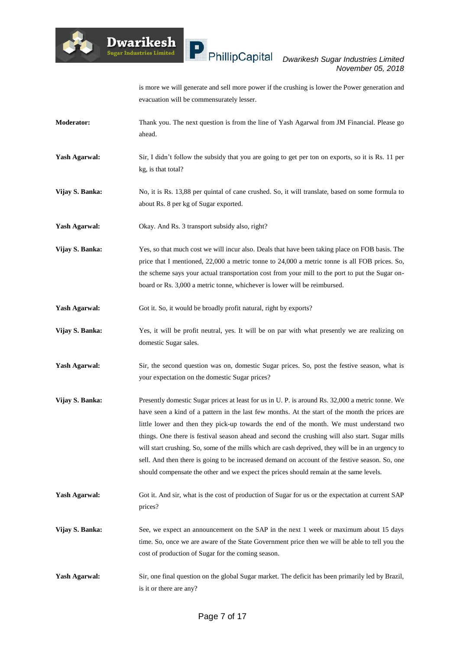

is more we will generate and sell more power if the crushing is lower the Power generation and evacuation will be commensurately lesser.

- **Moderator:** Thank you. The next question is from the line of Yash Agarwal from JM Financial. Please go ahead.
- Yash Agarwal: Sir, I didn't follow the subsidy that you are going to get per ton on exports, so it is Rs. 11 per kg, is that total?
- **Vijay S. Banka:** No, it is Rs. 13,88 per quintal of cane crushed. So, it will translate, based on some formula to about Rs. 8 per kg of Sugar exported.
- Yash Agarwal: Okay. And Rs. 3 transport subsidy also, right?

**Dwarikesh** .<br>Sugar Industries Limited

- **Vijay S. Banka:** Yes, so that much cost we will incur also. Deals that have been taking place on FOB basis. The price that I mentioned, 22,000 a metric tonne to 24,000 a metric tonne is all FOB prices. So, the scheme says your actual transportation cost from your mill to the port to put the Sugar onboard or Rs. 3,000 a metric tonne, whichever is lower will be reimbursed.
- Yash Agarwal: Got it. So, it would be broadly profit natural, right by exports?
- **Vijay S. Banka:** Yes, it will be profit neutral, yes. It will be on par with what presently we are realizing on domestic Sugar sales.
- **Yash Agarwal:** Sir, the second question was on, domestic Sugar prices. So, post the festive season, what is your expectation on the domestic Sugar prices?
- **Vijay S. Banka:** Presently domestic Sugar prices at least for us in U. P. is around Rs. 32,000 a metric tonne. We have seen a kind of a pattern in the last few months. At the start of the month the prices are little lower and then they pick-up towards the end of the month. We must understand two things. One there is festival season ahead and second the crushing will also start. Sugar mills will start crushing. So, some of the mills which are cash deprived, they will be in an urgency to sell. And then there is going to be increased demand on account of the festive season. So, one should compensate the other and we expect the prices should remain at the same levels.
- **Yash Agarwal:** Got it. And sir, what is the cost of production of Sugar for us or the expectation at current SAP prices?
- **Vijay S. Banka:** See, we expect an announcement on the SAP in the next 1 week or maximum about 15 days time. So, once we are aware of the State Government price then we will be able to tell you the cost of production of Sugar for the coming season.
- **Yash Agarwal:** Sir, one final question on the global Sugar market. The deficit has been primarily led by Brazil, is it or there are any?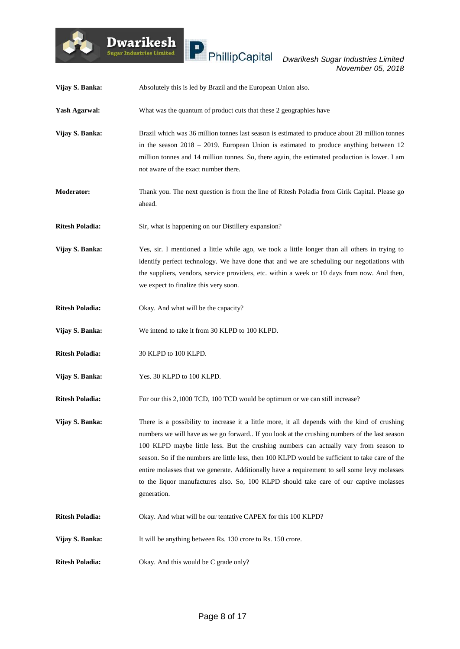

| Vijay S. Banka:        | Absolutely this is led by Brazil and the European Union also.                                                                                                                                                                                                                                                                                                                                                                                                                                                                                                                                        |
|------------------------|------------------------------------------------------------------------------------------------------------------------------------------------------------------------------------------------------------------------------------------------------------------------------------------------------------------------------------------------------------------------------------------------------------------------------------------------------------------------------------------------------------------------------------------------------------------------------------------------------|
| <b>Yash Agarwal:</b>   | What was the quantum of product cuts that these 2 geographies have                                                                                                                                                                                                                                                                                                                                                                                                                                                                                                                                   |
| Vijay S. Banka:        | Brazil which was 36 million tonnes last season is estimated to produce about 28 million tonnes<br>in the season $2018 - 2019$ . European Union is estimated to produce anything between 12<br>million tonnes and 14 million tonnes. So, there again, the estimated production is lower. I am<br>not aware of the exact number there.                                                                                                                                                                                                                                                                 |
| <b>Moderator:</b>      | Thank you. The next question is from the line of Ritesh Poladia from Girik Capital. Please go<br>ahead.                                                                                                                                                                                                                                                                                                                                                                                                                                                                                              |
| <b>Ritesh Poladia:</b> | Sir, what is happening on our Distillery expansion?                                                                                                                                                                                                                                                                                                                                                                                                                                                                                                                                                  |
| Vijay S. Banka:        | Yes, sir. I mentioned a little while ago, we took a little longer than all others in trying to<br>identify perfect technology. We have done that and we are scheduling our negotiations with<br>the suppliers, vendors, service providers, etc. within a week or 10 days from now. And then,<br>we expect to finalize this very soon.                                                                                                                                                                                                                                                                |
| <b>Ritesh Poladia:</b> | Okay. And what will be the capacity?                                                                                                                                                                                                                                                                                                                                                                                                                                                                                                                                                                 |
| Vijay S. Banka:        | We intend to take it from 30 KLPD to 100 KLPD.                                                                                                                                                                                                                                                                                                                                                                                                                                                                                                                                                       |
| <b>Ritesh Poladia:</b> | 30 KLPD to 100 KLPD.                                                                                                                                                                                                                                                                                                                                                                                                                                                                                                                                                                                 |
| Vijay S. Banka:        | Yes. 30 KLPD to 100 KLPD.                                                                                                                                                                                                                                                                                                                                                                                                                                                                                                                                                                            |
| <b>Ritesh Poladia:</b> | For our this 2,1000 TCD, 100 TCD would be optimum or we can still increase?                                                                                                                                                                                                                                                                                                                                                                                                                                                                                                                          |
| Vijay S. Banka:        | There is a possibility to increase it a little more, it all depends with the kind of crushing<br>numbers we will have as we go forward. If you look at the crushing numbers of the last season<br>100 KLPD maybe little less. But the crushing numbers can actually vary from season to<br>season. So if the numbers are little less, then 100 KLPD would be sufficient to take care of the<br>entire molasses that we generate. Additionally have a requirement to sell some levy molasses<br>to the liquor manufactures also. So, 100 KLPD should take care of our captive molasses<br>generation. |
| <b>Ritesh Poladia:</b> | Okay. And what will be our tentative CAPEX for this 100 KLPD?                                                                                                                                                                                                                                                                                                                                                                                                                                                                                                                                        |
| Vijay S. Banka:        | It will be anything between Rs. 130 crore to Rs. 150 crore.                                                                                                                                                                                                                                                                                                                                                                                                                                                                                                                                          |
| <b>Ritesh Poladia:</b> | Okay. And this would be C grade only?                                                                                                                                                                                                                                                                                                                                                                                                                                                                                                                                                                |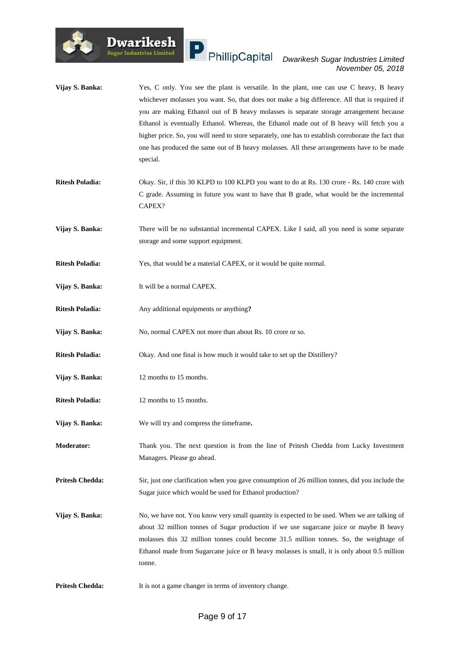

#### $\mathbf{P}$  PhillipCapital *Dwarikesh Sugar Industries Limited November 05, 2018*

- **Vijay S. Banka:** Yes, C only. You see the plant is versatile. In the plant, one can use C heavy, B heavy whichever molasses you want. So, that does not make a big difference. All that is required if you are making Ethanol out of B heavy molasses is separate storage arrangement because Ethanol is eventually Ethanol. Whereas, the Ethanol made out of B heavy will fetch you a higher price. So, you will need to store separately, one has to establish corroborate the fact that one has produced the same out of B heavy molasses. All these arrangements have to be made special.
- **Ritesh Poladia:** Okay. Sir, if this 30 KLPD to 100 KLPD you want to do at Rs. 130 crore Rs. 140 crore with C grade. Assuming in future you want to have that B grade, what would be the incremental CAPEX?
- **Vijay S. Banka:** There will be no substantial incremental CAPEX. Like I said, all you need is some separate storage and some support equipment.
- **Ritesh Poladia:** Yes, that would be a material CAPEX, or it would be quite normal.
- **Vijay S. Banka:** It will be a normal CAPEX.
- **Ritesh Poladia:** Any additional equipments or anything**?**
- Vijay S. Banka: No, normal CAPEX not more than about Rs. 10 crore or so.
- **Ritesh Poladia:** Okay. And one final is how much it would take to set up the Distillery?
- **Vijay S. Banka:** 12 months to 15 months.
- **Ritesh Poladia:** 12 months to 15 months.
- **Vijay S. Banka:** We will try and compress the timeframe**.**
- **Moderator:** Thank you. The next question is from the line of Pritesh Chedda from Lucky Investment Managers. Please go ahead.
- **Pritesh Chedda:** Sir, just one clarification when you gave consumption of 26 million tonnes, did you include the Sugar juice which would be used for Ethanol production?
- **Vijay S. Banka:** No, we have not. You know very small quantity is expected to be used. When we are talking of about 32 million tonnes of Sugar production if we use sugarcane juice or maybe B heavy molasses this 32 million tonnes could become 31.5 million tonnes. So, the weightage of Ethanol made from Sugarcane juice or B heavy molasses is small, it is only about 0.5 million tonne.
- **Pritesh Chedda:** It is not a game changer in terms of inventory change.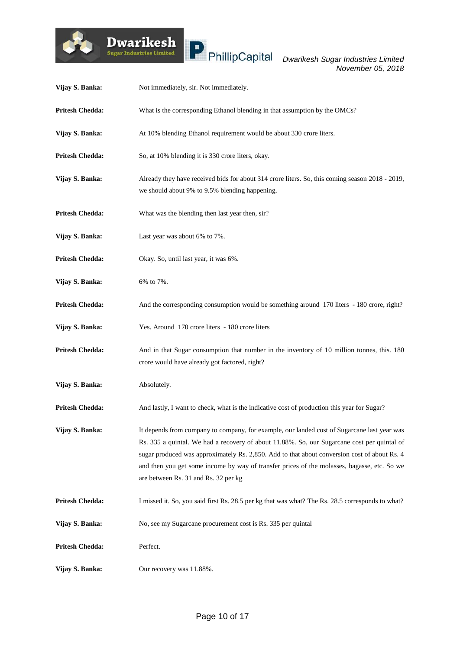

| Vijay S. Banka:        | Not immediately, sir. Not immediately.                                                                                                                                                                                                                                                                                                                                                                                            |
|------------------------|-----------------------------------------------------------------------------------------------------------------------------------------------------------------------------------------------------------------------------------------------------------------------------------------------------------------------------------------------------------------------------------------------------------------------------------|
| <b>Pritesh Chedda:</b> | What is the corresponding Ethanol blending in that assumption by the OMCs?                                                                                                                                                                                                                                                                                                                                                        |
| Vijay S. Banka:        | At 10% blending Ethanol requirement would be about 330 crore liters.                                                                                                                                                                                                                                                                                                                                                              |
| <b>Pritesh Chedda:</b> | So, at 10% blending it is 330 crore liters, okay.                                                                                                                                                                                                                                                                                                                                                                                 |
| Vijay S. Banka:        | Already they have received bids for about 314 crore liters. So, this coming season 2018 - 2019,<br>we should about 9% to 9.5% blending happening.                                                                                                                                                                                                                                                                                 |
| <b>Pritesh Chedda:</b> | What was the blending then last year then, sir?                                                                                                                                                                                                                                                                                                                                                                                   |
| Vijay S. Banka:        | Last year was about 6% to 7%.                                                                                                                                                                                                                                                                                                                                                                                                     |
| <b>Pritesh Chedda:</b> | Okay. So, until last year, it was 6%.                                                                                                                                                                                                                                                                                                                                                                                             |
| Vijay S. Banka:        | 6% to 7%.                                                                                                                                                                                                                                                                                                                                                                                                                         |
| <b>Pritesh Chedda:</b> | And the corresponding consumption would be something around 170 liters - 180 crore, right?                                                                                                                                                                                                                                                                                                                                        |
| Vijay S. Banka:        | Yes. Around 170 crore liters - 180 crore liters                                                                                                                                                                                                                                                                                                                                                                                   |
| <b>Pritesh Chedda:</b> | And in that Sugar consumption that number in the inventory of 10 million tonnes, this. 180<br>crore would have already got factored, right?                                                                                                                                                                                                                                                                                       |
| Vijay S. Banka:        | Absolutely.                                                                                                                                                                                                                                                                                                                                                                                                                       |
| <b>Pritesh Chedda:</b> | And lastly, I want to check, what is the indicative cost of production this year for Sugar?                                                                                                                                                                                                                                                                                                                                       |
| Vijay S. Banka:        | It depends from company to company, for example, our landed cost of Sugarcane last year was<br>Rs. 335 a quintal. We had a recovery of about 11.88%. So, our Sugarcane cost per quintal of<br>sugar produced was approximately Rs. 2,850. Add to that about conversion cost of about Rs. 4<br>and then you get some income by way of transfer prices of the molasses, bagasse, etc. So we<br>are between Rs. 31 and Rs. 32 per kg |
| <b>Pritesh Chedda:</b> | I missed it. So, you said first Rs. 28.5 per kg that was what? The Rs. 28.5 corresponds to what?                                                                                                                                                                                                                                                                                                                                  |
| Vijay S. Banka:        | No, see my Sugarcane procurement cost is Rs. 335 per quintal                                                                                                                                                                                                                                                                                                                                                                      |
| <b>Pritesh Chedda:</b> | Perfect.                                                                                                                                                                                                                                                                                                                                                                                                                          |
| Vijay S. Banka:        | Our recovery was 11.88%.                                                                                                                                                                                                                                                                                                                                                                                                          |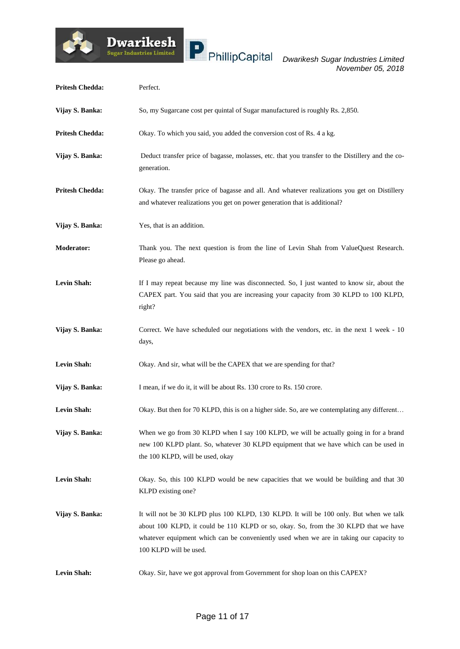

| <b>Pritesh Chedda:</b> | Perfect.                                                                                                                                                                                                                                                                                          |
|------------------------|---------------------------------------------------------------------------------------------------------------------------------------------------------------------------------------------------------------------------------------------------------------------------------------------------|
| Vijay S. Banka:        | So, my Sugarcane cost per quintal of Sugar manufactured is roughly Rs. 2,850.                                                                                                                                                                                                                     |
| <b>Pritesh Chedda:</b> | Okay. To which you said, you added the conversion cost of Rs. 4 a kg.                                                                                                                                                                                                                             |
| Vijay S. Banka:        | Deduct transfer price of bagasse, molasses, etc. that you transfer to the Distillery and the co-<br>generation.                                                                                                                                                                                   |
| <b>Pritesh Chedda:</b> | Okay. The transfer price of bagasse and all. And whatever realizations you get on Distillery<br>and whatever realizations you get on power generation that is additional?                                                                                                                         |
| Vijay S. Banka:        | Yes, that is an addition.                                                                                                                                                                                                                                                                         |
| <b>Moderator:</b>      | Thank you. The next question is from the line of Levin Shah from ValueQuest Research.<br>Please go ahead.                                                                                                                                                                                         |
| <b>Levin Shah:</b>     | If I may repeat because my line was disconnected. So, I just wanted to know sir, about the<br>CAPEX part. You said that you are increasing your capacity from 30 KLPD to 100 KLPD,<br>right?                                                                                                      |
| Vijay S. Banka:        | Correct. We have scheduled our negotiations with the vendors, etc. in the next 1 week - 10<br>days,                                                                                                                                                                                               |
| Levin Shah:            | Okay. And sir, what will be the CAPEX that we are spending for that?                                                                                                                                                                                                                              |
| Vijay S. Banka:        | I mean, if we do it, it will be about Rs. 130 crore to Rs. 150 crore.                                                                                                                                                                                                                             |
| Levin Shah:            | Okay. But then for 70 KLPD, this is on a higher side. So, are we contemplating any different                                                                                                                                                                                                      |
| Vijay S. Banka:        | When we go from 30 KLPD when I say 100 KLPD, we will be actually going in for a brand<br>new 100 KLPD plant. So, whatever 30 KLPD equipment that we have which can be used in<br>the 100 KLPD, will be used, okay                                                                                 |
| <b>Levin Shah:</b>     | Okay. So, this 100 KLPD would be new capacities that we would be building and that 30<br>KLPD existing one?                                                                                                                                                                                       |
| Vijay S. Banka:        | It will not be 30 KLPD plus 100 KLPD, 130 KLPD. It will be 100 only. But when we talk<br>about 100 KLPD, it could be 110 KLPD or so, okay. So, from the 30 KLPD that we have<br>whatever equipment which can be conveniently used when we are in taking our capacity to<br>100 KLPD will be used. |
| <b>Levin Shah:</b>     | Okay. Sir, have we got approval from Government for shop loan on this CAPEX?                                                                                                                                                                                                                      |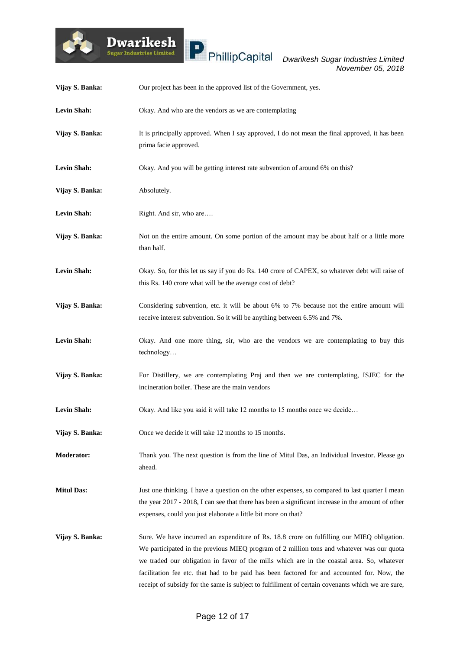

| Vijay S. Banka:    | Our project has been in the approved list of the Government, yes.                                                                                                                                                                                                                                                                                                                                                                                                                         |
|--------------------|-------------------------------------------------------------------------------------------------------------------------------------------------------------------------------------------------------------------------------------------------------------------------------------------------------------------------------------------------------------------------------------------------------------------------------------------------------------------------------------------|
| <b>Levin Shah:</b> | Okay. And who are the vendors as we are contemplating                                                                                                                                                                                                                                                                                                                                                                                                                                     |
| Vijay S. Banka:    | It is principally approved. When I say approved, I do not mean the final approved, it has been<br>prima facie approved.                                                                                                                                                                                                                                                                                                                                                                   |
| <b>Levin Shah:</b> | Okay. And you will be getting interest rate subvention of around 6% on this?                                                                                                                                                                                                                                                                                                                                                                                                              |
| Vijay S. Banka:    | Absolutely.                                                                                                                                                                                                                                                                                                                                                                                                                                                                               |
| <b>Levin Shah:</b> | Right. And sir, who are                                                                                                                                                                                                                                                                                                                                                                                                                                                                   |
| Vijay S. Banka:    | Not on the entire amount. On some portion of the amount may be about half or a little more<br>than half.                                                                                                                                                                                                                                                                                                                                                                                  |
| <b>Levin Shah:</b> | Okay. So, for this let us say if you do Rs. 140 crore of CAPEX, so whatever debt will raise of<br>this Rs. 140 crore what will be the average cost of debt?                                                                                                                                                                                                                                                                                                                               |
| Vijay S. Banka:    | Considering subvention, etc. it will be about 6% to 7% because not the entire amount will<br>receive interest subvention. So it will be anything between 6.5% and 7%.                                                                                                                                                                                                                                                                                                                     |
| <b>Levin Shah:</b> | Okay. And one more thing, sir, who are the vendors we are contemplating to buy this<br>technology                                                                                                                                                                                                                                                                                                                                                                                         |
| Vijay S. Banka:    | For Distillery, we are contemplating Praj and then we are contemplating, ISJEC for the<br>incineration boiler. These are the main vendors                                                                                                                                                                                                                                                                                                                                                 |
| <b>Levin Shah:</b> | Okay. And like you said it will take 12 months to 15 months once we decide                                                                                                                                                                                                                                                                                                                                                                                                                |
| Vijay S. Banka:    | Once we decide it will take 12 months to 15 months.                                                                                                                                                                                                                                                                                                                                                                                                                                       |
| <b>Moderator:</b>  | Thank you. The next question is from the line of Mitul Das, an Individual Investor. Please go<br>ahead.                                                                                                                                                                                                                                                                                                                                                                                   |
| <b>Mitul Das:</b>  | Just one thinking. I have a question on the other expenses, so compared to last quarter I mean<br>the year 2017 - 2018, I can see that there has been a significant increase in the amount of other<br>expenses, could you just elaborate a little bit more on that?                                                                                                                                                                                                                      |
| Vijay S. Banka:    | Sure. We have incurred an expenditure of Rs. 18.8 crore on fulfilling our MIEQ obligation.<br>We participated in the previous MIEQ program of 2 million tons and whatever was our quota<br>we traded our obligation in favor of the mills which are in the coastal area. So, whatever<br>facilitation fee etc. that had to be paid has been factored for and accounted for. Now, the<br>receipt of subsidy for the same is subject to fulfillment of certain covenants which we are sure, |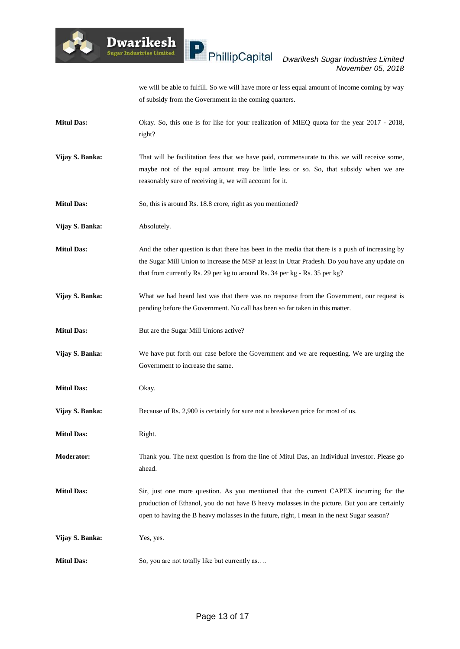

we will be able to fulfill. So we will have more or less equal amount of income coming by way of subsidy from the Government in the coming quarters.

- **Mitul Das:** Okay. So, this one is for like for your realization of MIEQ quota for the year 2017 2018, right?
- **Vijay S. Banka:** That will be facilitation fees that we have paid, commensurate to this we will receive some, maybe not of the equal amount may be little less or so. So, that subsidy when we are reasonably sure of receiving it, we will account for it.
- **Mitul Das:** So, this is around Rs. 18.8 crore, right as you mentioned?
- **Vijay S. Banka:** Absolutely.
- **Mitul Das:** And the other question is that there has been in the media that there is a push of increasing by the Sugar Mill Union to increase the MSP at least in Uttar Pradesh. Do you have any update on that from currently Rs. 29 per kg to around Rs. 34 per kg - Rs. 35 per kg?
- **Vijay S. Banka:** What we had heard last was that there was no response from the Government, our request is pending before the Government. No call has been so far taken in this matter.
- **Mitul Das:** But are the Sugar Mill Unions active?

**Dwarikesh** .<br>Sugar Industries Limited

- **Vijay S. Banka:** We have put forth our case before the Government and we are requesting. We are urging the Government to increase the same.
- **Mitul Das:** Okay.
- **Vijay S. Banka:** Because of Rs. 2,900 is certainly for sure not a breakeven price for most of us.
- **Mitul Das:** Right.
- **Moderator:** Thank you. The next question is from the line of Mitul Das, an Individual Investor. Please go ahead.
- **Mitul Das:** Sir, just one more question. As you mentioned that the current CAPEX incurring for the production of Ethanol, you do not have B heavy molasses in the picture. But you are certainly open to having the B heavy molasses in the future, right, I mean in the next Sugar season?
- **Vijay S. Banka:** Yes, yes.
- **Mitul Das:** So, you are not totally like but currently as....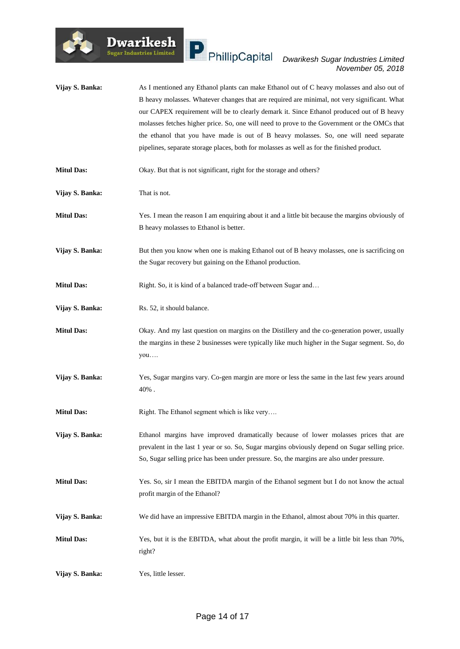

**Dwarikesh** 

.<br>Sugar Industries Limited

#### *Dwarikesh Sugar Industries Limited November 05, 2018*

**Vijay S. Banka:** As I mentioned any Ethanol plants can make Ethanol out of C heavy molasses and also out of B heavy molasses. Whatever changes that are required are minimal, not very significant. What our CAPEX requirement will be to clearly demark it. Since Ethanol produced out of B heavy molasses fetches higher price. So, one will need to prove to the Government or the OMCs that the ethanol that you have made is out of B heavy molasses. So, one will need separate pipelines, separate storage places, both for molasses as well as for the finished product. **Mitul Das:** Okay. But that is not significant, right for the storage and others? **Vijay S. Banka:** That is not. **Mitul Das:** Yes. I mean the reason I am enquiring about it and a little bit because the margins obviously of B heavy molasses to Ethanol is better. **Vijay S. Banka:** But then you know when one is making Ethanol out of B heavy molasses, one is sacrificing on the Sugar recovery but gaining on the Ethanol production. **Mitul Das:** Right. So, it is kind of a balanced trade-off between Sugar and... **Vijay S. Banka:** Rs. 52, it should balance. **Mitul Das:** Okay. And my last question on margins on the Distillery and the co-generation power, usually the margins in these 2 businesses were typically like much higher in the Sugar segment. So, do you…. **Vijay S. Banka:** Yes, Sugar margins vary. Co-gen margin are more or less the same in the last few years around 40% . **Mitul Das:** Right. The Ethanol segment which is like very.... **Vijay S. Banka:** Ethanol margins have improved dramatically because of lower molasses prices that are prevalent in the last 1 year or so. So, Sugar margins obviously depend on Sugar selling price. So, Sugar selling price has been under pressure. So, the margins are also under pressure. **Mitul Das:** Yes. So, sir I mean the EBITDA margin of the Ethanol segment but I do not know the actual profit margin of the Ethanol? **Vijay S. Banka:** We did have an impressive EBITDA margin in the Ethanol, almost about 70% in this quarter. **Mitul Das:** Yes, but it is the EBITDA, what about the profit margin, it will be a little bit less than 70%, right? **Vijay S. Banka:** Yes, little lesser.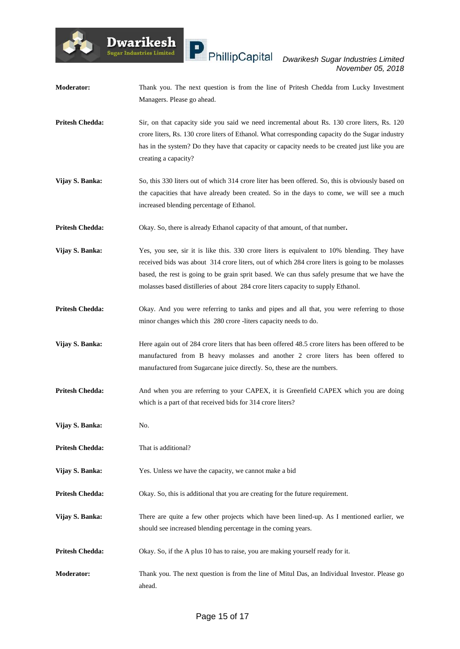- **Moderator:** Thank you. The next question is from the line of Pritesh Chedda from Lucky Investment Managers. Please go ahead.
- **Pritesh Chedda:** Sir, on that capacity side you said we need incremental about Rs. 130 crore liters, Rs. 120 crore liters, Rs. 130 crore liters of Ethanol. What corresponding capacity do the Sugar industry has in the system? Do they have that capacity or capacity needs to be created just like you are creating a capacity?
- **Vijay S. Banka:** So, this 330 liters out of which 314 crore liter has been offered. So, this is obviously based on the capacities that have already been created. So in the days to come, we will see a much increased blending percentage of Ethanol.
- **Pritesh Chedda:** Okay. So, there is already Ethanol capacity of that amount, of that number**.**

**Dwarikesh** 

.<br>Sugar Industries Limited

- **Vijay S. Banka:** Yes, you see, sir it is like this. 330 crore liters is equivalent to 10% blending. They have received bids was about 314 crore liters, out of which 284 crore liters is going to be molasses based, the rest is going to be grain sprit based. We can thus safely presume that we have the molasses based distilleries of about 284 crore liters capacity to supply Ethanol.
- **Pritesh Chedda:** Okay. And you were referring to tanks and pipes and all that, you were referring to those minor changes which this 280 crore -liters capacity needs to do.
- **Vijay S. Banka:** Here again out of 284 crore liters that has been offered 48.5 crore liters has been offered to be manufactured from B heavy molasses and another 2 crore liters has been offered to manufactured from Sugarcane juice directly. So, these are the numbers.
- **Pritesh Chedda:** And when you are referring to your CAPEX, it is Greenfield CAPEX which you are doing which is a part of that received bids for 314 crore liters?
- **Vijay S. Banka:** No.
- **Pritesh Chedda:** That is additional?
- **Vijay S. Banka:** Yes. Unless we have the capacity, we cannot make a bid
- **Pritesh Chedda:** Okay. So, this is additional that you are creating for the future requirement.
- **Vijay S. Banka:** There are quite a few other projects which have been lined-up. As I mentioned earlier, we should see increased blending percentage in the coming years.
- **Pritesh Chedda:** Okay. So, if the A plus 10 has to raise, you are making yourself ready for it.
- **Moderator:** Thank you. The next question is from the line of Mitul Das, an Individual Investor. Please go ahead.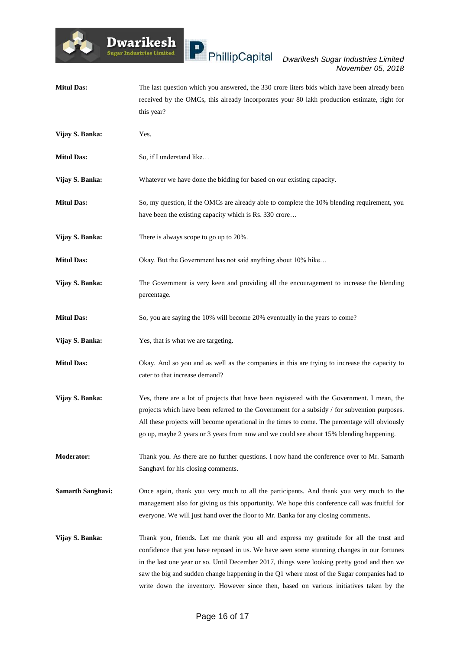**Mitul Das:** The last question which you answered, the 330 crore liters bids which have been already been

**Dwarikesh** .<br>Sugar Industries Limited

#### *Dwarikesh Sugar Industries Limited November 05, 2018*

received by the OMCs, this already incorporates your 80 lakh production estimate, right for this year? **Vijay S. Banka:** Yes. **Mitul Das:** So, if I understand like... **Vijay S. Banka:** Whatever we have done the bidding for based on our existing capacity. **Mitul Das:** So, my question, if the OMCs are already able to complete the 10% blending requirement, you have been the existing capacity which is Rs. 330 crore… **Vijay S. Banka:** There is always scope to go up to 20%. **Mitul Das:** Okay. But the Government has not said anything about 10% hike… **Vijay S. Banka:** The Government is very keen and providing all the encouragement to increase the blending percentage. **Mitul Das:** So, you are saying the 10% will become 20% eventually in the years to come? **Vijay S. Banka:** Yes, that is what we are targeting. **Mitul Das:** Okay. And so you and as well as the companies in this are trying to increase the capacity to cater to that increase demand? **Vijay S. Banka:** Yes, there are a lot of projects that have been registered with the Government. I mean, the projects which have been referred to the Government for a subsidy / for subvention purposes. All these projects will become operational in the times to come. The percentage will obviously go up, maybe 2 years or 3 years from now and we could see about 15% blending happening. **Moderator:** Thank you. As there are no further questions. I now hand the conference over to Mr. Samarth Sanghavi for his closing comments. **Samarth Sanghavi:** Once again, thank you very much to all the participants. And thank you very much to the management also for giving us this opportunity. We hope this conference call was fruitful for everyone. We will just hand over the floor to Mr. Banka for any closing comments. **Vijay S. Banka:** Thank you, friends. Let me thank you all and express my gratitude for all the trust and confidence that you have reposed in us. We have seen some stunning changes in our fortunes in the last one year or so. Until December 2017, things were looking pretty good and then we saw the big and sudden change happening in the Q1 where most of the Sugar companies had to

write down the inventory. However since then, based on various initiatives taken by the